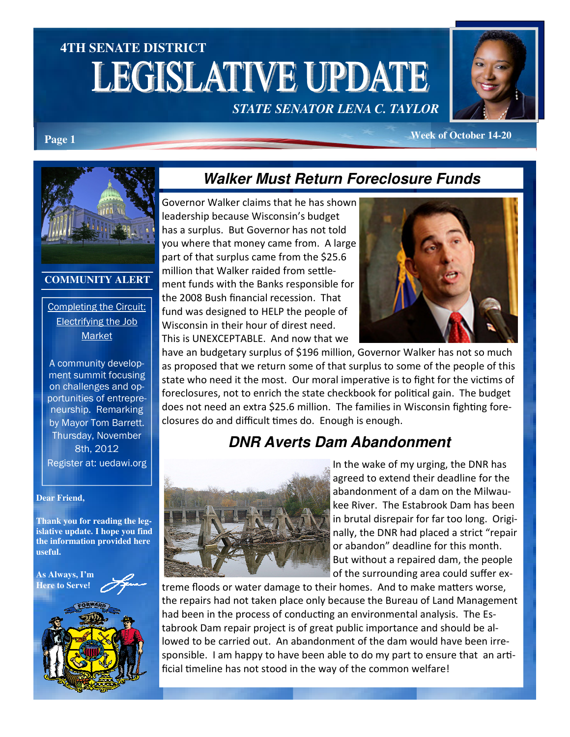# **4TH SENATE DISTRICT LEGISLATIVE UPDATE**

*STATE SENATOR LENA C. TAYLOR* 



#### **Page 1** *Page 1 Page 1 Page 1* **<b>***Page 1 Page 1 Page 1 Page 1 Page 1 Page 1 Page 1 Page 1 Page 1 Page 1 Page 1 Page 11* **<b>***Page 11 Page 11* **<b>***Page 11 Page 11*



#### **COMMUNITY ALERT**

#### Completing the Circuit: Electrifying the Job Market

A community development summit focusing on challenges and opportunities of entrepreneurship. Remarking by Mayor Tom Barrett. Thursday, November 8th, 2012 Register at: uedawi.org

#### **Dear Friend,**

**Thank you for reading the legislative update. I hope you find the information provided here useful.** 



## **Walker Must Return Foreclosure Funds**

Governor Walker claims that he has shown leadership because Wisconsin's budget has a surplus. But Governor has not told you where that money came from. A large part of that surplus came from the \$25.6 million that Walker raided from settlement funds with the Banks responsible for the 2008 Bush financial recession. That fund was designed to HELP the people of Wisconsin in their hour of direst need. This is UNEXCEPTABLE. And now that we



have an budgetary surplus of \$196 million, Governor Walker has not so much as proposed that we return some of that surplus to some of the people of this state who need it the most. Our moral imperative is to fight for the victims of foreclosures, not to enrich the state checkbook for political gain. The budget does not need an extra \$25.6 million. The families in Wisconsin fighting foreclosures do and difficult times do. Enough is enough.

#### **DNR Averts Dam Abandonment**



In the wake of my urging, the DNR has agreed to extend their deadline for the abandonment of a dam on the Milwaukee River. The Estabrook Dam has been in brutal disrepair for far too long. Originally, the DNR had placed a strict "repair or abandon" deadline for this month. But without a repaired dam, the people of the surrounding area could suffer ex-

treme floods or water damage to their homes. And to make matters worse, the repairs had not taken place only because the Bureau of Land Management had been in the process of conducting an environmental analysis. The Estabrook Dam repair project is of great public importance and should be allowed to be carried out. An abandonment of the dam would have been irresponsible. I am happy to have been able to do my part to ensure that an artificial timeline has not stood in the way of the common welfare!